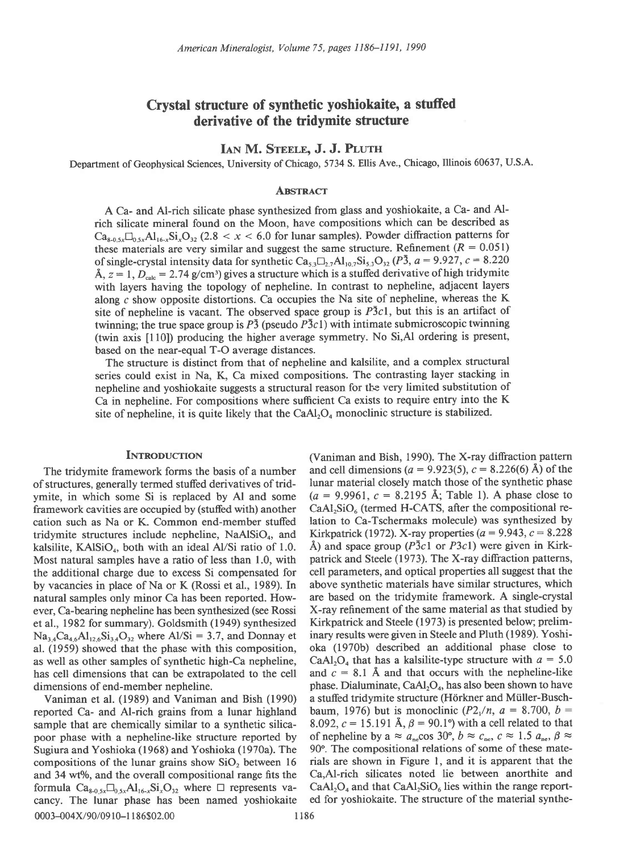# Crystal structure of synthetic yoshiokaite, a stuffed derivative of the tridymite structure

## IAN M. STEELE, J. J. PLUTH

Department of Geophysical Sciences, University of Chicago, 5734 S. Ellis Ave., Chicago, Illinois 60637, U'S.A.

#### **ABSTRACT**

A Ca- and Al-rich silicate phase synthesized from glass and yoshiokaite, a Ca- and Alrich silicate mineral found on the Moon, have compositions which can be described as  $Ca_{8.0.5x} \Box_{0.5x} Al_{16-x} Si_x O_{32}$  (2.8 < x < 6.0 for lunar samples). Powder diffraction patterns for these materials are very similar and suggest the same structure. Refinement ( $R = 0.051$ ) of single-crystal intensity data for synthetic Ca<sub>33</sub> $\Box$ <sub>27</sub>Al<sub>107</sub>Si<sub>33</sub>O<sub>32</sub> (P<sub>3</sub>,  $a = 9.927$ ,  $c = 8.220$ Å,  $z = 1$ ,  $D_{\text{calc}} = 2.74$  g/cm<sup>3</sup>) gives a structure which is a stuffed derivative of high tridymite with layers having the topology of nepheline. In contrast to nepheline, adjacent layers along c show opposite distortions. Ca occupies the Na site of nepheline, whereas the K site of nepheline is vacant. The observed space group is  $P\bar{3}c1$ , but this is an artifact of twinning; the true space group is  $P\bar{3}$  (pseudo  $P\bar{3}c1$ ) with intimate submicroscopic twinning (twin axis [ 10]) producing the higher average symmetry. No Si,Al ordering is present, based on the near-equal T-O average distances.

The structure is distinct from that of nepheline and kalsilite, and a complex structural series could exist in Na, K, Ca mixed compositions. The contrasting layer stacking in nepheline and yoshiokaite suggests a structural reason for the very limited substitution of Ca in nepheline. For compositions where sufficient Ca exists to require entry into the K site of nepheline, it is quite likely that the  $CaAl<sub>2</sub>O<sub>4</sub>$  monoclinic structure is stabilized.

of structures, generally termed stuffed derivatives of tridcation such as Na or K. Common end-member stuffed kalsilite, KAl $SiO<sub>4</sub>$ , both with an ideal Al/Si ratio of 1.0. natural samples only minor Ca has been reported. Howal. (1959) showed that the phase with this composition,

reported Ca- and Al-rich grains from a lunar highland and 34 wt%, and the overall compositional range fits the cancy. The lunar phase has been named yoshiokaite 0003-004X/90/0910-1186\$02.00 1186

INTRODUCTION (Vaniman and Bish, 1990). The X-ray diffraction pattern The tridymite framework forms the basis of a number and cell dimensions ( $a = 9.923(5)$ ,  $c = 8.226(6)$  Å) of the synthetic phase is tridential closely match those of the synthetic phase ymite, in which some Si is replaced by Al and some  $(a = 9.9961, c = 8.2195 \text{ Å}$ ; Table 1). A phase close to framework cavities are occupied by (stuffed with) another  $CaAl<sub>2</sub>SiO<sub>6</sub>$  (termed H-CATS, after the compositional recation such as Na or K. Common end-member stuffed lation to Ca-Tschermaks molecule) was synthesized tridymite structures include nepheline, NaAlSiO<sub>4</sub>, and Kirkpatrick (1972). X-ray properties ( $a = 9.943$ ,  $c = 8.228$ <br>kalsilite, KAlSiO<sub>4</sub>, both with an ideal Al/Si ratio of 1.0. Å) and space group (*P*3c1 or *P3c*1) were Most natural samples have a ratio of less than 1.0, with patrick and Steele (1973). The X-ray diffraction patterns, the additional charge due to excess Si compensated for cell parameters, and optical properties all suggest that the<br>by vacancies in place of Na or K (Rossi et al., 1989). In above synthetic materials have similar structure by vacancies in place of Na or K (Rossi et al., 1989). In above synthetic materials have similar structures, which natural samples only minor Ca has been reported. How- are based on the tridymite framework. A single-crysta ever, Ca-bearing nepheline has been synthesized (see Rossi X-ray refinement of the same material as that studied by<br>et al., 1982 for summary). Goldsmith (1949) synthesized Kirkpatrick and Steele (1973) is presented below; et al., 1982 for summary). Goldsmith (1949) synthesized Kirkpatrick and Steele (1973) is presented below; prelim-<br>Na<sub>34</sub>Ca<sub>46</sub>Al<sub>126</sub>Si<sub>34</sub>O<sub>32</sub> where Al/Si = 3.7, and Donnay et inary results were given in Steele and Plut  $Na_{34}Ca_{46}Al_{126}Si_{34}O_{32}$  where Al/Si = 3.7, and Donnay et inary results were given in Steele and Pluth (1989). Yoshi-<br>al. (1959) showed that the phase with this composition. oka (1970b) described an additional phase c as well as other samples of synthetic high-Ca nepheline, CaAl<sub>2</sub>O<sub>4</sub> that has a kalsilite-type structure with  $a = 5.0$ has cell dimensions that can be extrapolated to the cell and  $c = 8.1 \text{ Å}$  and that occurs with the nepheline-like dimensions of end-member nepheline. phase. Dialuminate,  $CaAl<sub>2</sub>O<sub>4</sub>$ , has also been shown to have<br>Vaniman et al. (1989) and Vaniman and Bish (1990) a stuffed tridymite structure (Hörkner and Müller-Busch-Vaniman et al. (1989) and Vaniman and Bish (1990) a stuffed tridymite structure (Hörkner and Müller-Busch-<br>ported Ca- and Al-rich grains from a lunar highland baum, 1976) but is monoclinic (P2,/n,  $a = 8.700$ ,  $b =$ sample that are chemically similar to a synthetic silica- 8.092,  $c = 15.191 \text{ Å}$ ,  $\beta = 90.1^{\circ}$  with a cell related to that poor phase with a nepheline-like structure reported by of nepheline by  $a \approx a_{\text{ne}} \cos 30^\circ$ ,  $b \approx c_{\text{ne}}$ ,  $c \approx 1.5$   $a_{\text{ne}}$ ,  $\beta \approx$ Sugiura and Yoshioka (1968) and Yoshioka (1970a). The 90°. The compositional relations of some of these mate-<br>compositions of the lunar grains show SiO, between 16 rials are shown in Figure 1, and it is apparent that the compositions of the lunar grains show  $SiO<sub>2</sub>$  between 16 rials are shown in Figure 1, and it is apparent that the and 34 wt%, and the overall compositional range fits the Ca. Al-rich silicates noted lie between anorth formula  $Ca_{s_0,s_x}\Box_{0,s_x}Al_{16,x}Si_xO_{32}$  where  $\Box$  represents va- CaAl<sub>2</sub>O<sub>4</sub> and that CaAl<sub>2</sub>SiO<sub>6</sub> lies within the range report-<br>cancy. The lunar phase has been named voshiokaite ed for yoshiokaite. The structure of the m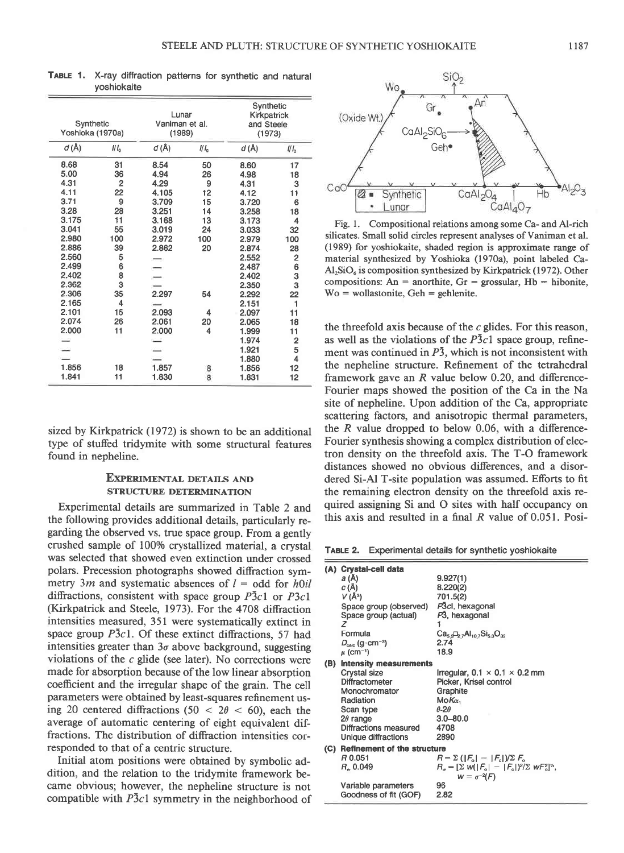| Synthetic<br>Yoshioka (1970a) |                 | Lunar<br>Vaniman et al.<br>(1989) |                  | Synthetic<br>Kirkpatrick<br>and Steele<br>(1973) |                         |
|-------------------------------|-----------------|-----------------------------------|------------------|--------------------------------------------------|-------------------------|
| d(A)                          | 11 <sub>0</sub> | d(A)                              | 1/1 <sub>0</sub> | d(A)                                             | II <sub>0</sub>         |
| 8.68                          | 31              | 8.54                              | 50               | 8.60                                             | 17                      |
| 5.00                          | 36              | 4.94                              | 26               | 4.98                                             | 18                      |
| 4.31                          | $\overline{2}$  | 4.29                              | 9                | 4.31                                             | 3                       |
| 4.11                          | 22              | 4.105                             | 12               | 4.12                                             | 11                      |
| 3.71                          | 9               | 3.709                             | 15               | 3.720                                            | 6                       |
| 3.28                          | 28              | 3.251                             | 14               | 3.258                                            | 18                      |
| 3.175                         | 11              | 3.168                             | 13               | 3.173                                            | 4                       |
| 3.041                         | 55              | 3.019                             | 24               | 3.033                                            | 32                      |
| 2.980                         | 100             | 2.972                             | 100              | 2.979                                            | 100                     |
| 2.886                         | 39              | 2.862                             | 20               | 2.874                                            | 28                      |
| 2.560                         | 5               |                                   |                  | 2.552                                            | $\overline{\mathbf{c}}$ |
| 2.499                         | 6               |                                   |                  | 2.487                                            |                         |
| 2.402                         | 8               |                                   |                  | 2.402                                            | $\frac{6}{3}$           |
| 2.362                         | 3               |                                   |                  | 2.350                                            | 3                       |
| 2.306                         | 35              | 2.297                             | 54               | 2.292                                            | 22                      |
| 2.165                         | 4               |                                   |                  | 2.151                                            | 1                       |
| 2.101                         | 15              | 2.093                             | 4                | 2.097                                            | 11                      |
| 2.074                         | 26              | 2.061                             | 20               | 2.065                                            | 18                      |
| 2.000                         | 11              | 2.000                             | 4                | 1.999                                            | 11                      |
|                               |                 |                                   |                  | 1.974                                            | $\overline{\mathbf{c}}$ |
|                               |                 |                                   |                  | 1.921                                            | 5                       |
|                               |                 |                                   |                  | 1.880                                            | 4                       |
| 1.856                         | 18              | 1.857                             | 8                | 1.856                                            | 12                      |
| 1.841                         | 11              | 1.830                             | 8                | 1.831                                            | 12                      |

TABLE 1. X-ray diffraction patterns for synthetic and natural yoshiokaite

sized by Kirkpatrick (1972) is shown to be an additional type of stufled tridymite with some structural features found in nepheline.

### EXPERIMENTAL DETAILS AND STRUCTURE DETERMINATION

Experimental details are summarized in Table 2 and the following provides additional details, particularly regarding the observed vs. true space group. From a gently crushed sample of 100% crystallized material, a crystal was selected that showed even extinction under crossed polars. Precession photographs showed diffraction symmetry 3m and systematic absences of  $l =$  odd for h $\delta$ diffractions, consistent with space group  $\overline{P}3c1$  or  $\overline{P}3c1$ (Kirkpatrick and Steele, 1973). For the 4708 diffraction intensities measured, 351 were systematically extinct in space group  $\overline{P}3c1$ . Of these extinct diffractions, 57 had intensities greater than  $3\sigma$  above background, suggesting violations of the  $c$  glide (see later). No corrections were made for absorption because of the low linear absorption coefficient and the irregular shape of the gain. The cell parameters were obtained by least-squares refinement using 20 centered diffractions (50  $<$  2 $\theta$   $<$  60), each the average of automatic centering of eight equivalent diffractions. The distribution of diffraction intensities corresponded to that of a centric structure.

Initial atom positions were obtained by symbolic addition, and the relation to the tridymite framework became obvious; however, the nepheline structure is not compatible with  $\overline{P}3c1$  symmetry in the neighborhood of



Fig. l. Compositional relations among some Ca- and Al-rich silicates. Small solid circles represent analyses of Vaniman et al. (1989) for yoshiokaite, shaded region is approximate range of material synthesized by Yoshioka (1970a), point labeled Ca- $AI<sub>2</sub>SiO<sub>6</sub>$  is composition synthesized by Kirkpatrick (1972). Other compositions: An = anorthite,  $Gr =$  grossular,  $Hb =$  hibonite,  $Wo =$  wollastonite,  $Geh =$  gehlenite.

the threefold axis because of the  $c$  glides. For this reason, as well as the violations of the  $P\bar{3}c1$  space group, refinement was continued in  $\overline{P3}$ , which is not inconsistent with the nepheline structure. Refinement of the tetrahedral framework gave an  $R$  value below 0.20, and difference-Fourier maps showed the position of the Ca in the Na site of nepheline. Upon addition of the Ca, appropriate scattering factors, and anisotropic thermal parameters, the  $R$  value dropped to below 0.06, with a difference-Fourier synthesis showing a complex distribution of electron density on the threefold axis. The T-O framework distances showed no obvious differences, and a disordered Si-Al T-site population was assumed. Efforts to fit the remaining electron density on the threefold axis required assigning Si and O sites with half occupancy on this axis and resulted in a final R value of 0.051. Posi-

TABLE 2. Experimental details for synthetic yoshiokaite

| (A) Crystal-cell data                |                                                                                              |  |  |  |  |
|--------------------------------------|----------------------------------------------------------------------------------------------|--|--|--|--|
| a (Å)                                | 9.927(1)                                                                                     |  |  |  |  |
|                                      | 8.220(2)                                                                                     |  |  |  |  |
|                                      | 701.5(2)                                                                                     |  |  |  |  |
| Space group (observed)               | P3cl, hexagonal                                                                              |  |  |  |  |
| Space group (actual)                 | P3, hexagonal                                                                                |  |  |  |  |
| z                                    |                                                                                              |  |  |  |  |
| Formula                              | $Ca5, A10$ , $Si5, O32$                                                                      |  |  |  |  |
| $D_{\rm{cav}}$ (q·cm <sup>-3</sup> ) | 2.74                                                                                         |  |  |  |  |
|                                      | 18.9                                                                                         |  |  |  |  |
| (B)                                  |                                                                                              |  |  |  |  |
| Crystal size                         | Irregular, $0.1 \times 0.1 \times 0.2$ mm                                                    |  |  |  |  |
| Diffractometer                       | Picker, Krisel control                                                                       |  |  |  |  |
| Monochromator                        | Graphite                                                                                     |  |  |  |  |
| Radiation                            | $MoK\alpha$                                                                                  |  |  |  |  |
| Scan type                            | $A-2A$                                                                                       |  |  |  |  |
| $2\theta$ range                      | $3.0 - 80.0$                                                                                 |  |  |  |  |
| Diffractions measured                | 4708                                                                                         |  |  |  |  |
| Unique diffractions                  | 2890                                                                                         |  |  |  |  |
| Refinement of the structure          |                                                                                              |  |  |  |  |
| R 0.051                              | $R = \Sigma (  F_{\rm o}   -   F_{\rm o}  )/\Sigma F_{\rm o}$                                |  |  |  |  |
| R. 0.049                             | $R_{\nu} = [\Sigma \text{ W}( F_{\rm o}  -  F_{\rm o} )^2/\Sigma \text{ W} F_{\rm o}^2]^2$ , |  |  |  |  |
|                                      | $w = \sigma^{-2}(F)$                                                                         |  |  |  |  |
| Variable parameters                  | 96                                                                                           |  |  |  |  |
| Goodness of fit (GOF)                | 2.82                                                                                         |  |  |  |  |
|                                      | $C(\AA)$<br>$V(\AA^3)$<br>$\mu$ (cm <sup>-1</sup> )<br><b>Intensity measurements</b><br>(C)  |  |  |  |  |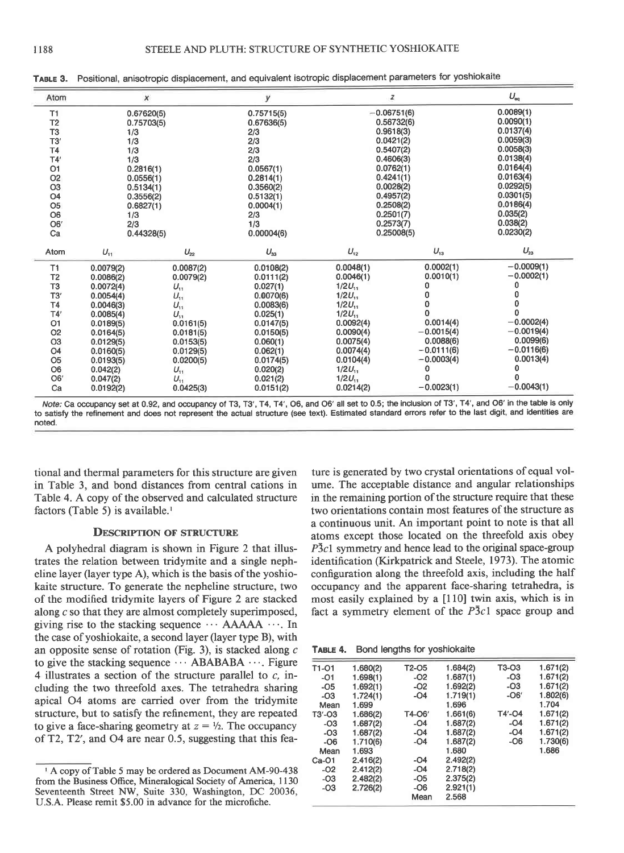| Atom           |            | $\pmb{\times}$ | y          | $\boldsymbol{z}$ |              | $U_{eq}$     |
|----------------|------------|----------------|------------|------------------|--------------|--------------|
| T1             | 0.67620(5) |                | 0.75715(5) | $-0.06751(6)$    |              | 0.0089(1)    |
| T <sub>2</sub> | 0.75703(5) |                | 0.67636(5) |                  | 0.56732(6)   | 0.0090(1)    |
| T <sub>3</sub> | 1/3        |                | 2/3        | 0.9618(3)        |              | 0.0137(4)    |
| T3'            | 1/3        |                | 2/3        | 0.0421(2)        |              | 0.0059(3)    |
| <b>T4</b>      | 1/3        |                | 2/3        | 0.5407(2)        |              | 0.0058(3)    |
| T4'            | 1/3        |                | 2/3        | 0.4606(3)        |              | 0.0138(4)    |
| O <sub>1</sub> | 0.2816(1)  |                | 0.0567(1)  | 0.0762(1)        |              | 0.0164(4)    |
| O <sub>2</sub> | 0.0556(1)  |                | 0.2814(1)  | 0.4241(1)        |              | 0.0163(4)    |
| O <sub>3</sub> | 0.5134(1)  |                | 0.3560(2)  | 0.0028(2)        |              | 0.0292(5)    |
| O <sub>4</sub> | 0.3556(2)  |                | 0.5132(1)  | 0.4957(2)        |              | 0.0301(5)    |
| O <sub>5</sub> | 0.6827(1)  |                | 0.0004(1)  | 0.2508(2)        |              | 0.0186(4)    |
| O <sub>6</sub> | 1/3        |                | 2/3        | 0.2501(7)        |              | 0.035(2)     |
| O6'            | 2/3        |                | 1/3        | 0.2573(7)        |              | 0.038(2)     |
| Ca             | 0.44328(5) |                | 0.00004(6) |                  | 0.25008(5)   | 0.0230(2)    |
| Atom           | $U_{11}$   | $U_{22}$       | $U_{33}$   | $U_{12}$         | $U_{13}$     | $U_{23}$     |
| T1             | 0.0079(2)  | 0.0087(2)      | 0.0108(2)  | 0.0048(1)        | 0.0002(1)    | $-0.0009(1)$ |
| T <sub>2</sub> | 0.0086(2)  | 0.0079(2)      | 0.0111(2)  | 0.0046(1)        | 0.0010(1)    | $-0.0002(1)$ |
| T <sub>3</sub> | 0.0072(4)  | $U_{11}$       | 0.027(1)   | $1/2U_{11}$      | 0            | 0            |
| T3'            | 0.0054(4)  | $U_{11}$       | 0.0070(6)  | $1/2U_{11}$      | n            | ٥            |
| <b>T4</b>      | 0.0046(3)  | $U_{11}$       | 0.0083(6)  | $1/2U_{11}$      | 0            | n            |
| T4'            | 0.0085(4)  | $U_{11}$       | 0.025(1)   | $1/2U_{11}$      | o            |              |
| 01             | 0.0189(5)  | 0.0161(5)      | 0.0147(5)  | 0.0092(4)        | 0.0014(4)    | $-0.0002(4)$ |
| O <sub>2</sub> | 0.0164(5)  | 0.0181(5)      | 0.0150(5)  | 0.0090(4)        | $-0.0015(4)$ | $-0.0019(4)$ |
| O <sub>3</sub> | 0.0129(5)  | 0.0153(5)      | 0.060(1)   | 0.0075(4)        | 0.0088(6)    | 0.0099(6)    |
| O <sub>4</sub> | 0.0160(5)  | 0.0129(5)      | 0.062(1)   | 0.0074(4)        | $-0.0111(6)$ | $-0.0116(6)$ |
| O <sub>5</sub> | 0.0193(5)  | 0.0200(5)      | 0.0174(5)  | 0.0104(4)        | $-0.0003(4)$ | 0.0013(4)    |
| O <sub>6</sub> | 0.042(2)   | $U_{11}$       | 0.020(2)   | $1/2U_{11}$      | 0            | 0            |
| O <sub>6</sub> | 0.047(2)   | $U_{11}$       | 0.021(2)   | $1/2U_{11}$      | n            | O            |
| Ca             | 0.0192(2)  | 0.0425(3)      | 0.0151(2)  | 0.0214(2)        | $-0.0023(1)$ | $-0.0043(1)$ |

TABLE 3. Positional, anisotropic displacement, and equivalent isotropic displacement parameters for yoshiokaite

tional and thermal parameters for this structure are given in Table 3, and bond distances from central cations in Table 4. A copy of the observed and calculated structure factors (Table 5) is available.<sup>1</sup>

#### **DESCRIPTION OF STRUCTURE**

A polyhedral diagram is shown in Figure 2 that illustrates the relation between tridymite and a single nepheline layer (layer type A), which is the basis of the yoshiokaite structure. To generate the nepheline structure, two of the modified tridymite layers of Figure 2 are stacked along c so that they are almost completely superimposed, giving rise to the stacking sequence  $\cdots$  AAAAA  $\cdots$ . In the case of yoshiokaite, a second layer (layer type B), with an opposite sense of rotation (Fig. 3), is stacked along  $c$ to give the stacking sequence  $\cdots$  ABABABA  $\cdots$ . Figure 4 illustrates a section of the structure parallel to  $c$ , including the two threefold axes. The tetrahedra sharing apical O4 atoms are carried over from the tridymite structure, but to satisfy the refinement, they are repeated to give a face-sharing geometry at  $z = \frac{1}{2}$ . The occupancy of T2, T2', and O4 are near 0.5, suggesting that this fea-

ture is generated by two crystal orientations of equal volume. The acceptable distance and angular relationships in the remaining portion of the structure require that these two orientations contain most features of the structure as a continuous unit. An important point to note is that all atoms except those located on the threefold axis obey  $P\bar{3}c1$  symmetry and hence lead to the original space-group identification (Kirkpatrick and Steele, 1973). The atomic configuration along the threefold axis, including the half occupancy and the apparent face-sharing tetrahedra, is most easily explained by a [110] twin axis, which is in fact a symmetry element of the  $P3c1$  space group and

TABLE 4. Bond lengths for yoshiokaite

| T1-01      | 1.680(2) | T2-05  | 1.684(2) | T3-03     | 1.671(2) |
|------------|----------|--------|----------|-----------|----------|
| $-01$      | 1.698(1) | $-O2$  | 1.687(1) | $-O3$     | 1.671(2) |
| $-OS$      | 1.692(1) | $-02$  | 1.692(2) | $-O3$     | 1.671(2) |
| $-O3$      | 1.724(1) | $-O4$  | 1.719(1) | $-OS$     | 1.802(6) |
| Mean       | 1.699    |        | 1.696    |           | 1.704    |
| $T3' - O3$ | 1.686(2) | T4-06' | 1.661(6) | $T4'$ -04 | 1.671(2) |
| -03        | 1.687(2) | $-O4$  | 1.687(2) | $-O4$     | 1.671(2) |
| $-O3$      | 1.687(2) | $-O4$  | 1.687(2) | $-O4$     | 1.671(2) |
| $-OG$      | 1.710(6) | $-O4$  | 1.687(2) | $-OS$     | 1.730(6) |
| Mean       | 1.693    |        | 1.680    |           | 1.686    |
| $Ca-O1$    | 2.416(2) | -04    | 2.492(2) |           |          |
| $-O2$      | 2.412(2) | $-O4$  | 2.718(2) |           |          |
| $-O3$      | 2.482(2) | $-OS$  | 2.375(2) |           |          |
| $-O3$      | 2.726(2) | $-OB$  | 2.921(1) |           |          |
|            |          | Mean   | 2.568    |           |          |
|            |          |        |          |           |          |

Note: Ca occupancy set at 0.92, and occupancy of T3, T3', T4, T4', O6, and O6' all set to 0.5; the inclusion of T3', T4', and O6' in the table is only to satisfy the refinement and does not represent the actual structure (see text). Estimated standard errors refer to the last digit, and identities are noted.

<sup>&</sup>lt;sup>1</sup> A copy of Table 5 may be ordered as Document AM-90-438 from the Business Office, Mineralogical Society of America, 1130 Seventeenth Street NW, Suite 330, Washington, DC 20036, U.S.A. Please remit \$5.00 in advance for the microfiche.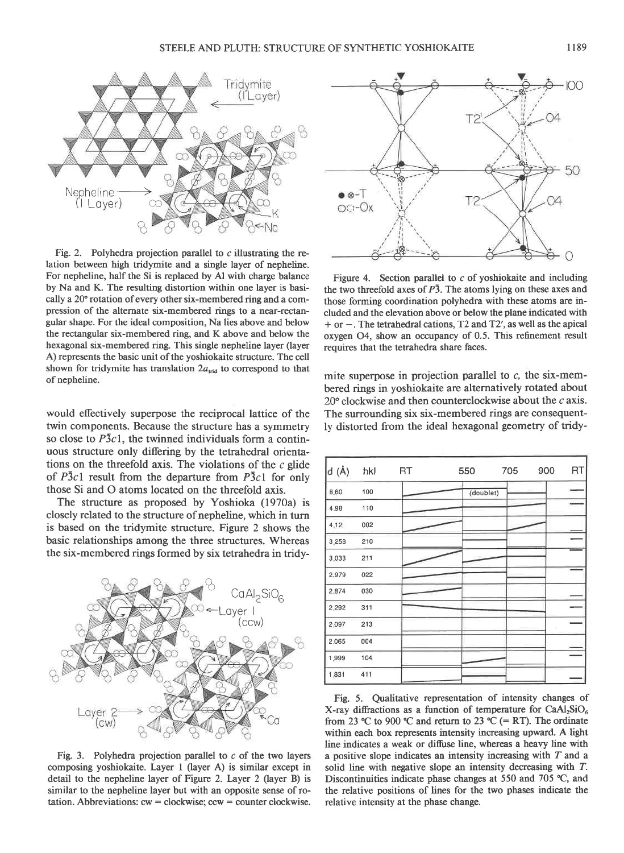

Fig. 2. Polyhedra projection parallel to  $c$  illustrating the relation between high tridymite and a single layer of nepheline. For nepheline, half the Si is replaced by Al with charge balance by Na and K. The resulting distortion within one layer is basically a 20'rotation of every other six-membered ring and a compression of the alternate six-membered rings to a near-rectangular shape. For the ideal composition, Na lies above and below the rectangular six-membered ring, and K above and below the hexagonal six-membered ring. This single nepheline layer (layer A) represents the basic unit of the yoshiokaite structure. The cell shown for tridymite has translation  $2a_{\text{tid}}$  to correspond to that of nepheline.

would effectively superpose the reciprocal lattice of the twin components. Because the structure has a symmetry so close to  $\overline{P}3c1$ , the twinned individuals form a continuous structure only differing by the tetrahedral orientations on the threefold axis. The violations of the  $c$  glide of  $\overline{P}3c1$  result from the departure from  $\overline{P}3c1$  for only those Si and O atoms located on the threefold axis.

The structure as proposed by Yoshioka (1970a) is closely related to the structure of nepheline, which in turn is based on the tridymite structure. Figure 2 shows the basic relationships among the three structures. Whereas the six-membered rings formed by six tetrahedra in tridy-



Fig. 3. Polyhedra projection parallel to  $c$  of the two layers composing yoshiokaite. Layer I (layer A) is similar except in detail to the nepheline layer of Figure 2. Layer 2 (layer B) is similar to the nepheline layer but with an opposite sense of rotation. Abbreviations:  $cw = clockwise$ :  $ccw = counter clockwise$ .



Figure 4. Section parallel to  $c$  of yoshiokaite and including the two threefold axes of  $P\bar{3}$ . The atoms lying on these axes and those forming coordination polyhedra with these atoms are included and the elevation above or below the plane indicated with  $+$  or  $-$ . The tetrahedral cations, T2 and T2', as well as the apical oxygen 04, show an occupancy of 0.5. This refinement result requires that the tetrahedra share faces.

mite superpose in projection parallel to  $c$ , the six-membered rings in yoshiokaite are alternatively rotated about 20'clockwise and then counterclockwise about the c axis. The surrounding six six-membered rings are consequently distorted from the ideal hexagonal geometry of tridy-

| $d (\AA)$ | hkl | RT | 550       | 705 | 900 | RT |
|-----------|-----|----|-----------|-----|-----|----|
| 8.60      | 100 |    | (doublet) |     |     |    |
| 4.98      | 110 |    |           |     |     |    |
| 4.12      | 002 |    |           |     |     |    |
| 3.258     | 210 |    |           |     |     |    |
| 3,033     | 211 |    |           |     |     |    |
| 2.979     | 022 |    |           |     |     |    |
| 2.874     | 030 |    |           |     |     |    |
| 2.292     | 311 |    |           |     |     |    |
| 2.097     | 213 |    |           |     |     |    |
| 2.065     | 004 |    |           |     |     |    |
| 1,999     | 104 |    |           |     |     |    |
| 1.831     | 411 |    |           |     |     |    |

Fig. 5. Qualitative representation of intensity changes of X-ray diffractions as a function of temperature for  $CaAl<sub>2</sub>SiO<sub>6</sub>$ from 23 °C to 900 °C and return to 23 °C (= RT). The ordinate within each box represents intensity increasing upward. A light line indicates a weak or diffuse line, whereas a heavy line with a positive slope indicates an intensity increasing with T and a solid line with negative slope an intensity decreasing with  $T$ . Discontinuities indicate phase changes at 550 and 705  $\degree$ C, and the relative positions of lines for the two phases indicate the relative intensity at the phase change.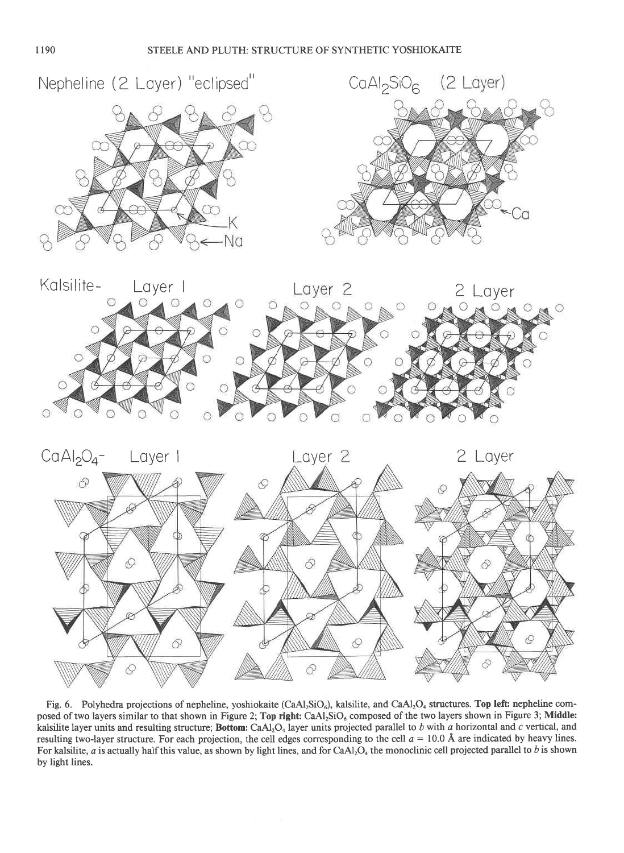







Fig. 6. Polyhedra projections of nepheline, yoshiokaite (CaAl<sub>2</sub>SiO<sub>6</sub>), kalsilite, and CaAl<sub>2</sub>O<sub>4</sub> structures. Top left: nepheline composed of two layers similar to that shown in Figure 2; Top right: CaAl<sub>2</sub>SiO<sub>6</sub> composed of the two layers shown in Figure 3; Middle: kalsilite layer units and resulting structure; Bottom: CaAl<sub>2</sub>O<sub>4</sub> layer units projected parallel to b with a horizontal and c vertical, and resulting two-layer structure. For each projection, the cell edges corresponding to the cell  $a = 10.0 \text{ Å}$  are indicated by heavy lines. For kalsilite, a is actually half this value, as shown by light lines, and for  $CaAl<sub>2</sub>O<sub>4</sub>$  the monoclinic cell projected parallel to b is shown by light lines.

6